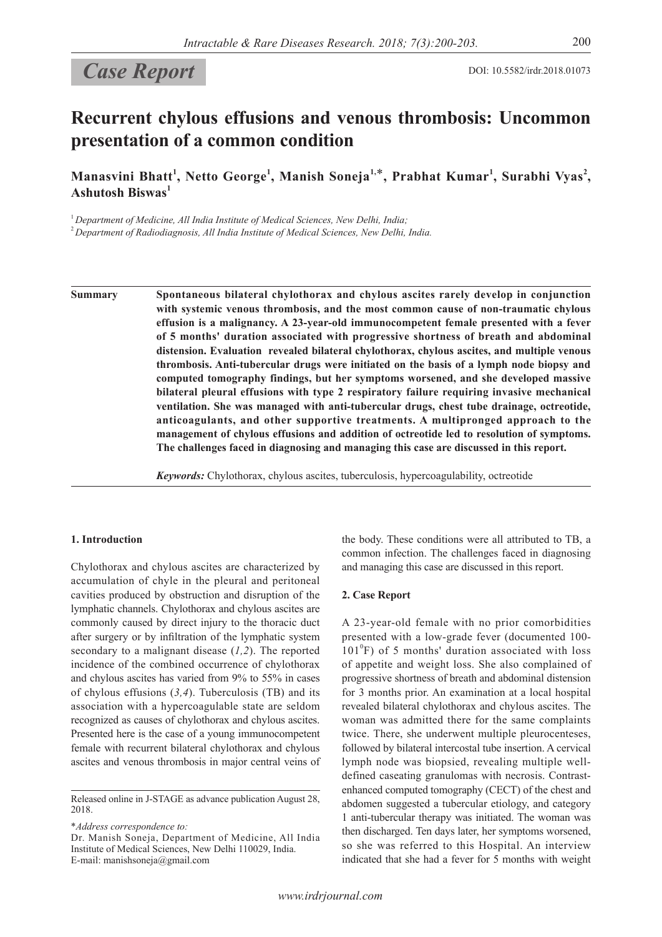# Case Report DOI: 10.5582/irdr.2018.01073

## **Recurrent chylous effusions and venous thrombosis: Uncommon presentation of a common condition**

**Manasvini Bhatt<sup>1</sup> , Netto George<sup>1</sup> , Manish Soneja1,**\***, Prabhat Kumar<sup>1</sup> , Surabhi Vyas<sup>2</sup> , Ashutosh Biswas<sup>1</sup>**

<sup>1</sup> Department of Medicine, All India Institute of Medical Sciences, New Delhi, India;

<sup>2</sup>*Department of Radiodiagnosis, All India Institute of Medical Sciences, New Delhi, India.*

**Summary Spontaneous bilateral chylothorax and chylous ascites rarely develop in conjunction with systemic venous thrombosis, and the most common cause of non-traumatic chylous effusion is a malignancy. A 23-year-old immunocompetent female presented with a fever of 5 months' duration associated with progressive shortness of breath and abdominal distension. Evaluation revealed bilateral chylothorax, chylous ascites, and multiple venous thrombosis. Anti-tubercular drugs were initiated on the basis of a lymph node biopsy and computed tomography findings, but her symptoms worsened, and she developed massive bilateral pleural effusions with type 2 respiratory failure requiring invasive mechanical ventilation. She was managed with anti-tubercular drugs, chest tube drainage, octreotide, anticoagulants, and other supportive treatments. A multipronged approach to the management of chylous effusions and addition of octreotide led to resolution of symptoms. The challenges faced in diagnosing and managing this case are discussed in this report.**

*Keywords:* Chylothorax, chylous ascites, tuberculosis, hypercoagulability, octreotide

## **1. Introduction**

Chylothorax and chylous ascites are characterized by accumulation of chyle in the pleural and peritoneal cavities produced by obstruction and disruption of the lymphatic channels. Chylothorax and chylous ascites are commonly caused by direct injury to the thoracic duct after surgery or by infiltration of the lymphatic system secondary to a malignant disease (*1,2*). The reported incidence of the combined occurrence of chylothorax and chylous ascites has varied from 9% to 55% in cases of chylous effusions (*3,4*). Tuberculosis (TB) and its association with a hypercoagulable state are seldom recognized as causes of chylothorax and chylous ascites. Presented here is the case of a young immunocompetent female with recurrent bilateral chylothorax and chylous ascites and venous thrombosis in major central veins of

Released online in J-STAGE as advance publication August 28, 2018.

\**Address correspondence to:*

Dr. Manish Soneja, Department of Medicine, All India Institute of Medical Sciences, New Delhi 110029, India. E-mail: manishsoneja@gmail.com

the body. These conditions were all attributed to TB, a common infection. The challenges faced in diagnosing and managing this case are discussed in this report.

#### **2. Case Report**

A 23-year-old female with no prior comorbidities presented with a low-grade fever (documented 100- 101<sup>°</sup>F) of 5 months' duration associated with loss of appetite and weight loss. She also complained of progressive shortness of breath and abdominal distension for 3 months prior. An examination at a local hospital revealed bilateral chylothorax and chylous ascites. The woman was admitted there for the same complaints twice. There, she underwent multiple pleurocenteses, followed by bilateral intercostal tube insertion. A cervical lymph node was biopsied, revealing multiple welldefined caseating granulomas with necrosis. Contrastenhanced computed tomography (CECT) of the chest and abdomen suggested a tubercular etiology, and category 1 anti-tubercular therapy was initiated. The woman was then discharged. Ten days later, her symptoms worsened, so she was referred to this Hospital. An interview indicated that she had a fever for 5 months with weight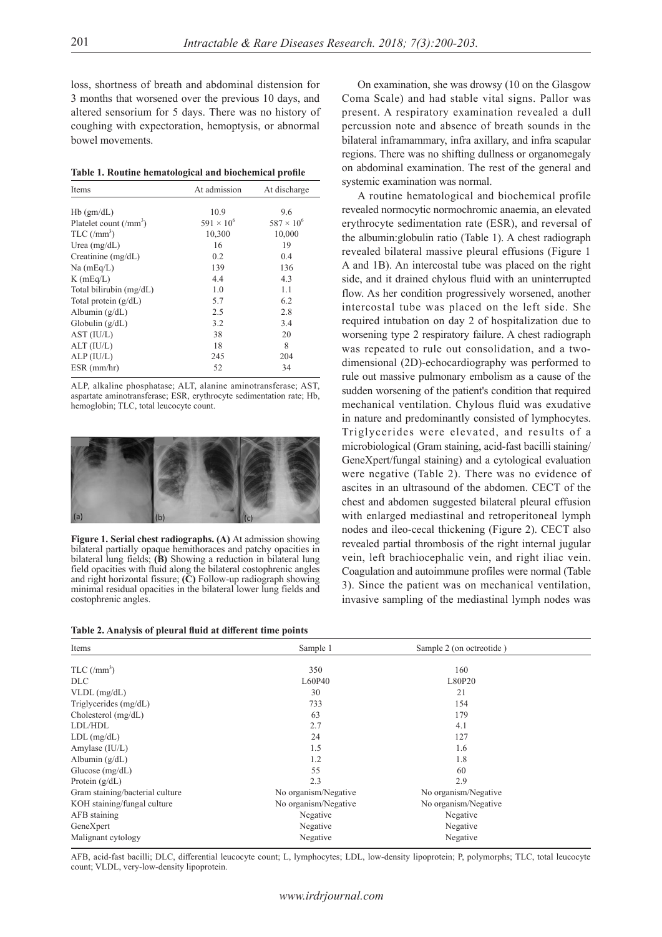loss, shortness of breath and abdominal distension for 3 months that worsened over the previous 10 days, and altered sensorium for 5 days. There was no history of coughing with expectoration, hemoptysis, or abnormal bowel movements.

|  |  | Table 1. Routine hematological and biochemical profile |  |
|--|--|--------------------------------------------------------|--|
|  |  |                                                        |  |

| Items                           | At admission        | At discharge        |
|---------------------------------|---------------------|---------------------|
|                                 |                     |                     |
| $Hb$ (gm/dL)                    | 10.9                | 9.6                 |
| Platelet count $(\text{/mm}^3)$ | $591 \times 10^{6}$ | $587 \times 10^{6}$ |
| $TLC/(mm^3)$                    | 10,300              | 10,000              |
| Urea $(mg/dL)$                  | 16                  | 19                  |
| Creatinine $(mg/dL)$            | 0.2                 | 0.4                 |
| $Na$ (mEq/L)                    | 139                 | 136                 |
| $K$ (mEq/L)                     | 4.4                 | 4.3                 |
| Total bilirubin (mg/dL)         | 1.0                 | 1.1                 |
| Total protein $(g/dL)$          | 5.7                 | 6.2                 |
| Albumin $(g/dL)$                | 2.5                 | 2.8                 |
| Globulin $(g/dL)$               | 3.2                 | 3.4                 |
| AST (IU/L)                      | 38                  | 20                  |
| ALT (IU/L)                      | 18                  | 8                   |
| ALP (IU/L)                      | 245                 | 204                 |
| $ESR$ (mm/hr)                   | 52                  | 34                  |

ALP, alkaline phosphatase; ALT, alanine aminotransferase; AST, aspartate aminotransferase; ESR, erythrocyte sedimentation rate; Hb, hemoglobin; TLC, total leucocyte count.



**Figure 1. Serial chest radiographs. (A)** At admission showing bilateral partially opaque hemithoraces and patchy opacities in bilateral lung fields; **(B)** Showing a reduction in bilateral lung field opacities with fluid along the bilateral costophrenic angles and right horizontal fissure; **(C)** Follow-up radiograph showing minimal residual opacities in the bilateral lower lung fields and costophrenic angles.

**Table 2. Analysis of pleural fluid at different time points**

On examination, she was drowsy (10 on the Glasgow Coma Scale) and had stable vital signs. Pallor was present. A respiratory examination revealed a dull percussion note and absence of breath sounds in the bilateral inframammary, infra axillary, and infra scapular regions. There was no shifting dullness or organomegaly on abdominal examination. The rest of the general and systemic examination was normal.

A routine hematological and biochemical profile revealed normocytic normochromic anaemia, an elevated erythrocyte sedimentation rate (ESR), and reversal of the albumin:globulin ratio (Table 1). A chest radiograph revealed bilateral massive pleural effusions (Figure 1 A and 1B). An intercostal tube was placed on the right side, and it drained chylous fluid with an uninterrupted flow. As her condition progressively worsened, another intercostal tube was placed on the left side. She required intubation on day 2 of hospitalization due to worsening type 2 respiratory failure. A chest radiograph was repeated to rule out consolidation, and a twodimensional (2D)-echocardiography was performed to rule out massive pulmonary embolism as a cause of the sudden worsening of the patient's condition that required mechanical ventilation. Chylous fluid was exudative in nature and predominantly consisted of lymphocytes. Triglycerides were elevated, and results of a microbiological (Gram staining, acid-fast bacilli staining/ GeneXpert/fungal staining) and a cytological evaluation were negative (Table 2). There was no evidence of ascites in an ultrasound of the abdomen. CECT of the chest and abdomen suggested bilateral pleural effusion with enlarged mediastinal and retroperitoneal lymph nodes and ileo-cecal thickening (Figure 2). CECT also revealed partial thrombosis of the right internal jugular vein, left brachiocephalic vein, and right iliac vein. Coagulation and autoimmune profiles were normal (Table 3). Since the patient was on mechanical ventilation, invasive sampling of the mediastinal lymph nodes was

| Items                           | Sample 1             | Sample 2 (on octreotide) |  |
|---------------------------------|----------------------|--------------------------|--|
|                                 |                      |                          |  |
| $TLC/(mm^3)$                    | 350                  | 160                      |  |
| DLC                             | L60P40               | L80P20                   |  |
| $VLDL$ (mg/dL)                  | 30                   | 21                       |  |
| Triglycerides (mg/dL)           | 733                  | 154                      |  |
| Cholesterol $(mg/dL)$           | 63                   | 179                      |  |
| LDL/HDL                         | 2.7                  | 4.1                      |  |
| $LDL$ (mg/dL)                   | 24                   | 127                      |  |
| Amylase (IU/L)                  | 1.5                  | 1.6                      |  |
| Albumin (g/dL)                  | 1.2                  | 1.8                      |  |
| Glucose $(mg/dL)$               | 55                   | 60                       |  |
| Protein $(g/dL)$                | 2.3                  | 2.9                      |  |
| Gram staining/bacterial culture | No organism/Negative | No organism/Negative     |  |
| KOH staining/fungal culture     | No organism/Negative | No organism/Negative     |  |
| AFB staining                    | Negative             | Negative                 |  |
| GeneXpert                       | Negative             | Negative                 |  |
| Malignant cytology              | Negative             | Negative                 |  |

AFB, acid-fast bacilli; DLC, differential leucocyte count; L, lymphocytes; LDL, low-density lipoprotein; P, polymorphs; TLC, total leucocyte count; VLDL, very-low-density lipoprotein.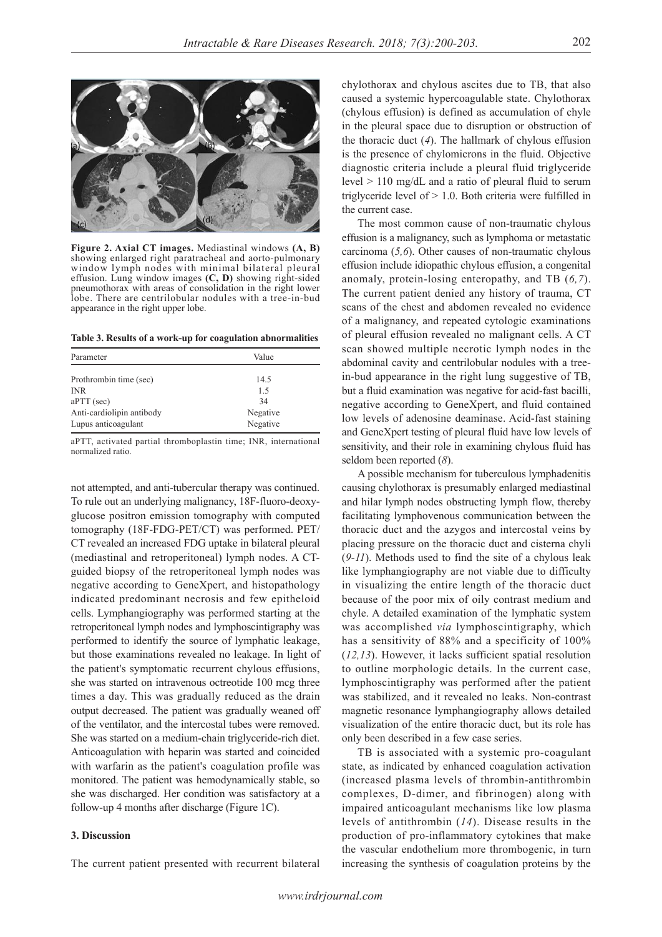

**Figure 2. Axial CT images.** Mediastinal windows **(A, B)** showing enlarged right paratracheal and aorto-pulmonary window lymph nodes with minimal bilateral pleural effusion. Lung window images **(C, D)** showing right-sided pneumothorax with areas of consolidation in the right lower lobe. There are centrilobular nodules with a tree-in-bud appearance in the right upper lobe.

**Table 3. Results of a work-up for coagulation abnormalities**

| Parameter                 | Value    |  |
|---------------------------|----------|--|
| Prothrombin time (sec)    | 14.5     |  |
| <b>INR</b>                | 1.5      |  |
| $aPTT$ (sec)              | 34       |  |
| Anti-cardiolipin antibody | Negative |  |
| Lupus anticoagulant       | Negative |  |

aPTT, activated partial thromboplastin time; INR, international normalized ratio.

not attempted, and anti-tubercular therapy was continued. To rule out an underlying malignancy, 18F-fluoro-deoxyglucose positron emission tomography with computed tomography (18F-FDG-PET/CT) was performed. PET/ CT revealed an increased FDG uptake in bilateral pleural (mediastinal and retroperitoneal) lymph nodes. A CTguided biopsy of the retroperitoneal lymph nodes was negative according to GeneXpert, and histopathology indicated predominant necrosis and few epitheloid cells. Lymphangiography was performed starting at the retroperitoneal lymph nodes and lymphoscintigraphy was performed to identify the source of lymphatic leakage, but those examinations revealed no leakage. In light of the patient's symptomatic recurrent chylous effusions, she was started on intravenous octreotide 100 mcg three times a day. This was gradually reduced as the drain output decreased. The patient was gradually weaned off of the ventilator, and the intercostal tubes were removed. She was started on a medium-chain triglyceride-rich diet. Anticoagulation with heparin was started and coincided with warfarin as the patient's coagulation profile was monitored. The patient was hemodynamically stable, so she was discharged. Her condition was satisfactory at a follow-up 4 months after discharge (Figure 1C).

### **3. Discussion**

The current patient presented with recurrent bilateral

chylothorax and chylous ascites due to TB, that also caused a systemic hypercoagulable state. Chylothorax (chylous effusion) is defined as accumulation of chyle in the pleural space due to disruption or obstruction of the thoracic duct (*4*). The hallmark of chylous effusion is the presence of chylomicrons in the fluid. Objective diagnostic criteria include a pleural fluid triglyceride level > 110 mg/dL and a ratio of pleural fluid to serum triglyceride level of  $> 1.0$ . Both criteria were fulfilled in the current case.

The most common cause of non-traumatic chylous effusion is a malignancy, such as lymphoma or metastatic carcinoma (*5,6*). Other causes of non-traumatic chylous effusion include idiopathic chylous effusion, a congenital anomaly, protein-losing enteropathy, and TB (*6,7*). The current patient denied any history of trauma, CT scans of the chest and abdomen revealed no evidence of a malignancy, and repeated cytologic examinations of pleural effusion revealed no malignant cells. A CT scan showed multiple necrotic lymph nodes in the abdominal cavity and centrilobular nodules with a treein-bud appearance in the right lung suggestive of TB, but a fluid examination was negative for acid-fast bacilli, negative according to GeneXpert, and fluid contained low levels of adenosine deaminase. Acid-fast staining and GeneXpert testing of pleural fluid have low levels of sensitivity, and their role in examining chylous fluid has seldom been reported (*8*).

A possible mechanism for tuberculous lymphadenitis causing chylothorax is presumably enlarged mediastinal and hilar lymph nodes obstructing lymph flow, thereby facilitating lymphovenous communication between the thoracic duct and the azygos and intercostal veins by placing pressure on the thoracic duct and cisterna chyli (*9-11*). Methods used to find the site of a chylous leak like lymphangiography are not viable due to difficulty in visualizing the entire length of the thoracic duct because of the poor mix of oily contrast medium and chyle. A detailed examination of the lymphatic system was accomplished *via* lymphoscintigraphy, which has a sensitivity of 88% and a specificity of 100% (*12,13*). However, it lacks sufficient spatial resolution to outline morphologic details. In the current case, lymphoscintigraphy was performed after the patient was stabilized, and it revealed no leaks. Non-contrast magnetic resonance lymphangiography allows detailed visualization of the entire thoracic duct, but its role has only been described in a few case series.

TB is associated with a systemic pro-coagulant state, as indicated by enhanced coagulation activation (increased plasma levels of thrombin-antithrombin complexes, D-dimer, and fibrinogen) along with impaired anticoagulant mechanisms like low plasma levels of antithrombin (*14*). Disease results in the production of pro-inflammatory cytokines that make the vascular endothelium more thrombogenic, in turn increasing the synthesis of coagulation proteins by the